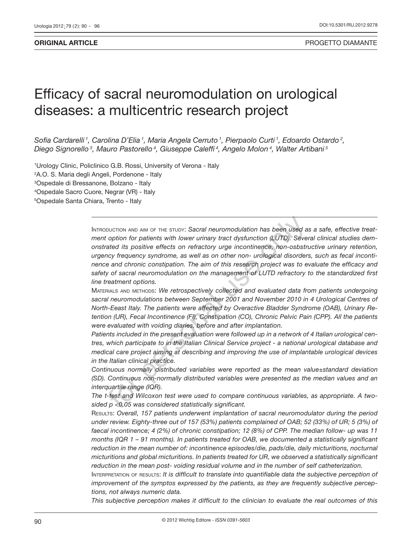# Efficacy of sacral neuromodulation on urological diseases: a multicentric research project

*Sofia Cardarelli 1, Carolina D'Elia 1, Maria Angela Cerruto 1, Pierpaolo Curti 1, Edoardo Ostardo 2, Diego Signorello 3, Mauro Pastorello 4, Giuseppe Caleffi 4, Angelo Molon 4, Walter Artibani 5*

<sup>1</sup>Urology Clinic, Policlinico G.B. Rossi, University of Verona - Italy 2 A.O. S. Maria degli Angeli, Pordenone - Italy 3 Ospedale di Bressanone, Bolzano - Italy <sup>4</sup>Ospedale Sacro Cuore, Negrar (VR) - Italy 5 Ospedale Santa Chiara, Trento - Italy

> INTRODUCTION AND AIM OF THE STUDY: Sacral neuromodulation has been used as a safe, effective treat*ment option for patients with lower urinary tract dysfunction (LUTD). Several clinical studies demonstrated its positive effects on refractory urge incontinence, non-osbstructive urinary retention, urgency frequency syndrome, as well as on other non- urological disorders, such as fecal incontinence and chronic constipation. The aim of this research project was to evaluate the efficacy and safety of sacral neuromodulation on the management of LUTD refractory to the standardized first line treatment options.*  buchion and of the stuby: Sacral neuromodulation has been used a option for patients with lower urinary tract dysfunction (LUTD). Severated its positive effects on refractory urge incontinence, non-osbstracy frequency synd

> Materials and methods: *We retrospectively collected and evaluated data from patients undergoing sacral neuromodulations between September 2001 and November 2010 in 4 Urological Centres of North-Eeast Italy. The patients were affected by Overactive Bladder Syndrome (OAB), Urinary Retention (UR), Fecal Incontinence (FI), Constipation (CO), Chronic Pelvic Pain (CPP). All the patients were evaluated with voiding diaries, before and after implantation.*

> *Patients included in the present evaluation were followed up in a network of 4 Italian urological centres, which participate to in the Italian Clinical Service project - a national urological database and medical care project aiming at describing and improving the use of implantable urological devices in the Italian clinical practice.*

> *Continuous normally distributed variables were reported as the mean value±standard deviation (SD). Continuous non-normally distributed variables were presented as the median values and an interquartile range (IQR).*

> *The t-test and Wilcoxon test were used to compare continuous variables, as appropriate. A twosided p <0.05 was considered statistically significant.*

> Results: *Overall, 157 patients underwent implantation of sacral neuromodulator during the period under review. Eighty-three out of 157 (53%) patients complained of OAB; 52 (33%) of UR; 5 (3%) of faecal incontinence; 4 (2%) of chronic constipation; 12 (8%) of CPP. The median follow- up was 11 months (IQR 1 – 91 months). In patients treated for OAB, we documented a statistically significant reduction in the mean number of: incontinence episodes/die, pads/die, daily micturitions, nocturnal micturitions and global micturitions. In patients treated for UR, we observed a statistically significant reduction in the mean post- voiding residual volume and in the number of self catheterization.*

> Interpretation of results: *It is difficult to translate into quantifiable data the subjective perception of improvement of the symptos expressed by the patients, as they are frequently subjective perceptions, not always numeric data.*

> *This subjective perception makes it difficult to the clinician to evaluate the real outcomes of this*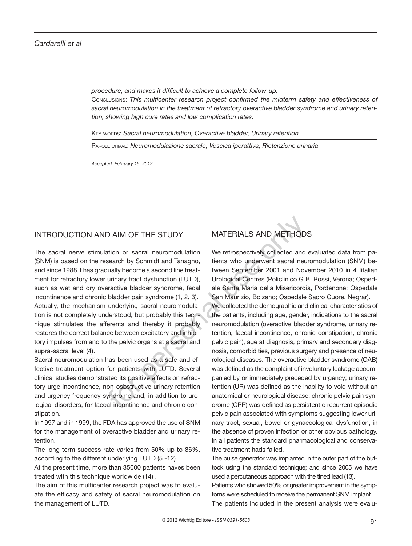*procedure, and makes it difficult to achieve a complete follow-up.* Conclusions: *This multicenter research project confirmed the midterm safety and effectiveness of sacral neuromodulation in the treatment of refractory overactive bladder syndrome and urinary retention, showing high cure rates and low complication rates.* 

KEY WORDS: Sacral neuromodulation, Overactive bladder, Urinary retention

Parole chiave: *Neuromodulazione sacrale, Vescica iperattiva, Rietenzione urinaria*

*Accepted: February 15, 2012*

# INTRODUCTION AND AIM OF THE STUDY

The sacral nerve stimulation or sacral neuromodulation (SNM) is based on the research by Schmidt and Tanagho, and since 1988 it has gradually become a second line treatment for refractory lower urinary tract dysfunction (LUTD), such as wet and dry overactive bladder syndrome, fecal incontinence and chronic bladder pain syndrome (1, 2, 3). Actually, the mechanism underlying sacral neuromodulation is not completely understood, but probably this technique stimulates the afferents and thereby it probably restores the correct balance between excitatory and inhibitory impulses from and to the pelvic organs at a sacral and supra-sacral level (4).

Sacral neuromodulation has been used as a safe and effective treatment option for patients with LUTD. Several clinical studies demonstrated its positive effects on refractory urge incontinence, non-osbstructive urinary retention and urgency frequency syndrome and, in addition to urological disorders, for faecal incontinence and chronic constipation.

In 1997 and in 1999, the FDA has approved the use of SNM for the management of overactive bladder and urinary retention.

The long-term success rate varies from 50% up to 86%, according to the different underlying LUTD (5 -12).

At the present time, more than 35000 patients haves been treated with this technique worldwide (14) .

The aim of this multicenter research project was to evaluate the efficacy and safety of sacral neuromodulation on the management of LUTD.

# MATERIALS AND METHODS

We retrospectively collected and evaluated data from patients who underwent sacral neuromodulation (SNM) between September 2001 and November 2010 in 4 Iitalian Urological Centres (Policlinico G.B. Rossi, Verona; Ospedale Santa Maria della Misericordia, Pordenone; Ospedale San Maurizio, Bolzano; Ospedale Sacro Cuore, Negrar). We collected the demographic and clinical characteristics of the patients, including age, gender, indications to the sacral neuromodulation (overactive bladder syndrome, urinary retention, faecal incontinence, chronic constipation, chronic pelvic pain), age at diagnosis, primary and secondary diagnosis, comorbidities, previous surgery and presence of neurological diseases. The overactive bladder syndrome (OAB) was defined as the complaint of involuntary leakage accompanied by or immediately preceded by urgency; urinary retention (UR) was defined as the inability to void without an anatomical or neurological disease; chronic pelvic pain syndrome (CPP) was defined as persistent o recurrent episodic pelvic pain associated with symptoms suggesting lower urinary tract, sexual, bowel or gynaecological dysfunction, in the absence of proven infection or other obvious pathology. In all patients the standard pharmacological and conservative treatment hads failed. D AIM OF THE STUDY MATERIALS AND METHODS<br>
intion or sacral neuromodulation We retrospectively collected and<br>
search by Schmidt and Tanagho, tients who underwent sacral neu<br>
utally become a second line treat-<br>
tween Septemb

> The pulse generator was implanted in the outer part of the buttock using the standard technique; and since 2005 we have used a percutaneous approach with the tined lead (13). Patients who showed 50% or greater improvement in the symptoms were scheduled to receive the permanent SNM implant. The patients included in the present analysis were evalu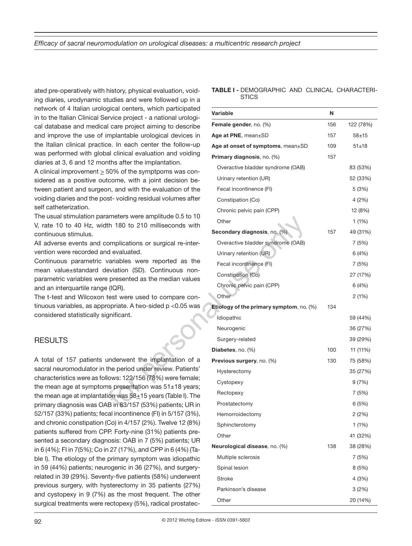ated pre-operatively with history, physical evaluation, voiding diaries, urodynamic studies and were followed up in a network of 4 Italian urological centers, which participated in to the Italian Clinical Service project - a national urological database and medical care project aiming to describe and improve the use of implantable urological devices in the Italian clinical practice. In each center the follow-up was performed with global clinical evaluation and voiding diaries at 3, 6 and 12 months after the implantation.

A clinical improvement  $\geq$  50% of the symptpoms was considered as a positive outcome, with a joint decision between patient and surgeon, and with the evaluation of the voiding diaries and the post- voiding residual volumes after self catheterization.

The usual stimulation parameters were amplitude 0.5 to 10 V, rate 10 to 40 Hz, width 180 to 210 milliseconds with continuous stimulus.

All adverse events and complications or surgical re-intervention were recorded and evaluated.

Continuous parametric variables were reported as the mean value±standard deviation (SD). Continuous nonparametric variables were presented as the median values and an interquartile range (IQR).

The t-test and Wilcoxon test were used to compare continuous variables, as appropriate. A two-sided p <0.05 was considered statistically significant.

## **RESULTS**

A total of 157 patients underwent the implantation of a sacral neuromodulator in the period under review. Patients' characteristics were as follows: 122/156 (78%) were female; the mean age at symptoms presentation was  $51±18$  years; the mean age at implantation was  $58+15$  years (Table I). The primary diagnosis was OAB in 83/157 (53%) patients; UR in 52/157 (33%) patients; fecal incontinence (FI) in 5/157 (3%), and chronic constipation (Co) in 4/157 (2%). Twelve 12 (8%) patients suffered from CPP. Forty-nine (31%) patients presented a secondary diagnosis: OAB in 7 (5%) patients; UR in 6 (4%); FI in 7(5%); Co in 27 (17%), and CPP in 6 (4%) (Table I). The etiology of the primary symptom was idiopathic in 59 (44%) patients; neurogenic in 36 (27%), and surgeryrelated in 39 (29%). Seventy-five patients (58%) underwent previous surgery, with hysterectomy in 35 patients (27%) and cystopexy in 9 (7%) as the most frequent. The other surgical treatments were rectopexy (5%), radical prostatec**TABLE I -** DEMOGRAPHIC AND CLINICAL CHARACTERI-**STICS** 

| gical centers, which participated<br>ervice project - a national urologi- | Variable                                 | N   |           |
|---------------------------------------------------------------------------|------------------------------------------|-----|-----------|
| Il care project aiming to describe                                        | Female gender, no. (%)                   | 156 | 122 (78%) |
| mplantable urological devices in                                          | Age at PNE, mean±SD                      | 157 | $58 + 15$ |
| ce. In each center the follow-up                                          | Age at onset of symptoms, mean±SD        | 109 | 51±18     |
| al clinical evaluation and voiding                                        | Primary diagnosis, no. (%)               | 157 |           |
| nths after the implantation.<br>50% of the symptpoms was con-             | Overactive bladder syndrome (OAB)        |     | 83 (53%)  |
| tcome, with a joint decision be-                                          | Urinary retention (UR)                   |     | 52 (33%)  |
| on, and with the evaluation of the<br>st-voiding residual volumes after   | Fecal incontinence (FI)                  |     | 5(3%)     |
|                                                                           | Constipation (Co)                        |     | 4(2%)     |
|                                                                           | Chronic pelvic pain (CPP)                |     | 12 (8%)   |
| ameters were amplitude 0.5 to 10<br>th 180 to 210 milliseconds with       | Other                                    |     | 1(1%)     |
|                                                                           | Secondary diagnosis, no. (%)             | 157 | 49 (31%)  |
| omplications or surgical re-inter-                                        | Overactive bladder syndrome (OAB)        |     | 7(5%)     |
| d evaluated.                                                              | Urinary retention (UR)                   |     | 6(4%)     |
| variables were reported as the                                            | Fecal incontinence (FI)                  |     | 7(5%)     |
| eviation (SD). Continuous non-<br>presented as the median values          | Constipation (Co)                        |     | 27 (17%)  |
| : (IQR).                                                                  | Chronic pelvic pain (CPP)                |     | 6(4%)     |
| test were used to compare con-                                            | Other                                    |     | 2(1%)     |
| opriate. A two-sided p <0.05 was                                          | Etiology of the primary symptom, no. (%) | 134 |           |
| gnificant.                                                                | Idiopathic                               |     | 59 (44%)  |
|                                                                           | Neurogenic                               |     | 36 (27%)  |
|                                                                           | Surgery-related                          |     | 39 (29%)  |
|                                                                           | Diabetes, no. (%)                        | 100 | 11 (11%)  |
| underwent the implantation of a                                           | Previous surgery, no. (%)                | 130 | 75 (58%)  |
| the period under review. Patients'                                        | Hysterectomy                             |     | 35 (27%)  |
| lows: 122/156 (78%) were female;                                          | Cystopexy                                |     | 9(7%)     |
| ns presentation was 51±18 years;<br>ion was 58+15 years (Table I). The    | Rectopexy                                |     | 7 (5%)    |
| B in 83/157 (53%) patients; UR in                                         | Prostatectomy                            |     | 6 (5%)    |
| cal incontinence (FI) in 5/157 (3%),                                      | Hemorroidectomy                          |     | 2(2%)     |
| Co) in 4/157 (2%). Twelve 12 (8%)                                         | Sphincterotomy                           |     | 1(1%)     |
| P. Forty-nine (31%) patients pre-                                         | Other                                    |     | 41 (32%)  |
| nosis: OAB in 7 (5%) patients; UR<br>127 (17%), and CPP in 6 (4%) (Ta-    | Neurological disease, no. (%)            | 138 | 38 (28%)  |
| primary symptom was idiopathic                                            | Multiple sclerosis                       |     | 7 (5%)    |
| rogenic in 36 (27%), and surgery-                                         | Spinal lesion                            |     | 8(5%)     |
| nty-five patients (58%) underwent                                         | <b>Stroke</b>                            |     | 4(3%)     |
| sterectomy in 35 patients (27%)                                           | Parkinson's disease                      |     | 3(2%)     |
| as the most frequent. The other<br>ectopexy (5%), radical prostatec-      | Other                                    |     | 20 (14%)  |
|                                                                           |                                          |     |           |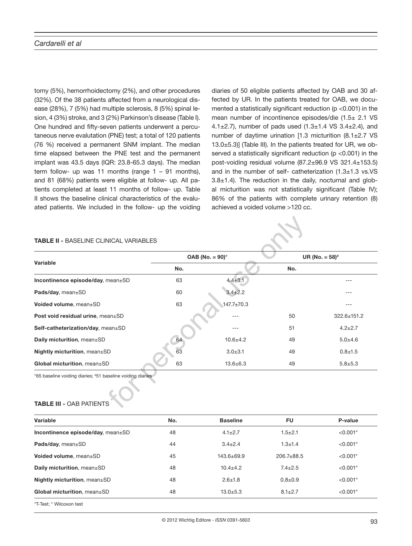tomy (5%), hemorrhoidectomy (2%), and other procedures (32%). Of the 38 patients affected from a neurological disease (28%), 7 (5%) had multiple sclerosis, 8 (5%) spinal lesion, 4 (3%) stroke, and 3 (2%) Parkinson's disease (Table I). One hundred and fifty-seven patients underwent a percutaneous nerve evalutation (PNE) test; a total of 120 patients (76 %) received a permanent SNM implant. The median time elapsed between the PNE test and the permanent implant was 43.5 days (IQR: 23.8-65.3 days). The median term follow- up was 11 months (range  $1 - 91$  months), and 81 (68%) patients were eligible at follow- up. All patients completed at least 11 months of follow- up. Table II shows the baseline clinical characteristics of the evaluated patients. We included in the follow- up the voiding diaries of 50 eligible patients affected by OAB and 30 affected by UR. In the patients treated for OAB, we documented a statistically significant reduction (p <0.001) in the mean number of incontinence episodes/die (1.5± 2.1 VS 4.1 $\pm$ 2.7), number of pads used  $(1.3\pm1.4 \text{ VS } 3.4\pm2.4)$ , and number of daytime urination [1.3 micturition (8.1±2.7 VS 13.0±5.3)] (Table III). In the patients treated for UR, we observed a statistically significant reduction (p <0.001) in the post-voiding residual volume (87.2±96.9 VS 321.4±153.5) and in the number of self- catheterization  $(1.3 \pm 1.3 \text{ vs.VS})$  $3.8±1.4$ ). The reduction in the daily, nocturnal and global micturition was not statistically significant (Table IV); 86% of the patients with complete urinary retention (8) achieved a voided volume >120 cc.

#### **TABLE II -** BASELINE CLINICAL VARIABLES

| Variable                                                   | OAB (No. $= 90$ )° |                  |     | UR (No. $= 58$ ) <sup>#</sup> |  |
|------------------------------------------------------------|--------------------|------------------|-----|-------------------------------|--|
|                                                            | No.                |                  | No. |                               |  |
| Incontinence episode/day, mean±SD                          | 63                 | $4.4 \pm 3.1$    |     | ---                           |  |
| Pads/day, mean±SD                                          | 60                 | $3.4 \pm 2.2$    |     |                               |  |
| Voided volume, mean±SD                                     | 63                 | $147.7 \pm 70.3$ |     | ---                           |  |
| Post void residual urine, mean±SD                          |                    |                  | 50  | 322.6±151.2                   |  |
| Self-catheterization/day, mean±SD                          |                    |                  | 51  | $4.2 \pm 2.7$                 |  |
| Daily micturition, mean±SD                                 | 64                 | $10.6 + 4.2$     | 49  | $5.0 + 4.6$                   |  |
| Nightly micturition, mean±SD                               | 63                 | $3.0 + 3.1$      | 49  | $0.8 + 1.5$                   |  |
| Global micturition, mean±SD                                | 63                 | $13.6 \pm 6.3$   | 49  | $5.8 + 5.3$                   |  |
| °65 baseline voiding diaries; #51 baseline voiding diaries |                    |                  |     |                               |  |

#### **TABLE III -** OAB PATIENTS

| Variable                                | No. | <b>Baseline</b>  | <b>FU</b>        | P-value     |
|-----------------------------------------|-----|------------------|------------------|-------------|
| Incontinence episode/day, $mean \pm SD$ | 48  | $4.1 \pm 2.7$    | $1.5 + 2.1$      | $< 0.001$ ° |
| Pads/day, $mean \pm SD$                 | 44  | $3.4 \pm 2.4$    | $1.3 + 1.4$      | $< 0.001$ ° |
| Voided volume, mean±SD                  | 45  | $143.6 \pm 69.9$ | $206.7 \pm 88.5$ | $< 0.001*$  |
| Daily micturition, mean±SD              | 48  | $10.4 \pm 4.2$   | $7.4 + 2.5$      | $< 0.001$ ° |
| <b>Nightly micturition, mean</b> ±SD    | 48  | $2.6 + 1.8$      | $0.8 + 0.9$      | $< 0.001$ ° |
| Global micturition, mean±SD             | 48  | $13.0 + 5.3$     | $8.1 \pm 2.7$    | $< 0.001$ ° |
|                                         |     |                  |                  |             |

\*T-Test; ° Wilcoxon test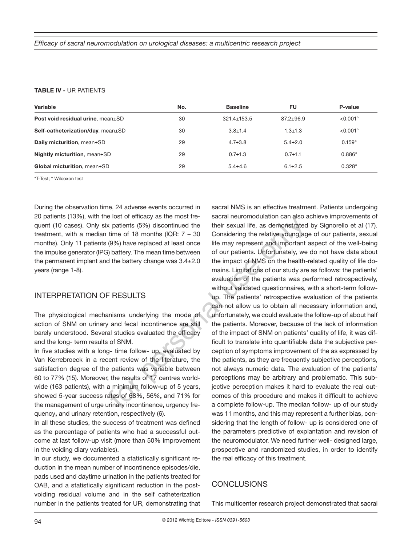#### **TABLE IV -** UR PATIENTS

| Variable                                  | No. | <b>Baseline</b>   | FU            | P-value              |
|-------------------------------------------|-----|-------------------|---------------|----------------------|
| <b>Post void residual urine, mean</b> ±SD | 30  | $321.4 \pm 153.5$ | $87.2 + 96.9$ | $<$ 0.001 $^{\circ}$ |
| Self-catheterization/day, mean±SD         | 30  | $3.8 + 1.4$       | $1.3 + 1.3$   | $< 0.001$ °          |
| Daily micturition, mean±SD                | 29  | $4.7 \pm 3.8$     | $5.4 \pm 2.0$ | $0.159^\circ$        |
| Nightly micturition, mean $\pm$ SD        | 29  | $0.7 + 1.3$       | $0.7 + 1.1$   | $0.886^\circ$        |
| Global micturition, mean±SD               | 29  | $5.4 + 4.6$       | $6.1 \pm 2.5$ | $0.328^\circ$        |
|                                           |     |                   |               |                      |

\*T-Test; ° Wilcoxon test

During the observation time, 24 adverse events occurred in 20 patients (13%), with the lost of efficacy as the most frequent (10 cases). Only six patients (5%) discontinued the treatment, with a median time of 18 months (IQR:  $7 - 30$ months). Only 11 patients (9%) have replaced at least once the impulse generator (IPG) battery. The mean time between the permanent implant and the battery change was 3.4±2.0 years (range 1-8).

### INTERPRETATION OF RESULTS

The physiological mechanisms underlying the mode of action of SNM on urinary and fecal incontinence are still barely understood. Several studies evaluated the efficacy and the long- term results of SNM.

In five studies with a long**-** time follow**-** up, evaluated by Van Kerrebroeck in a recent review of the literature, the satisfaction degree of the patients was variable between 60 to 77% (15). Moreover, the results of 17 centres worldwide (163 patients), with a minimum follow**-**up of 5 years, showed 5-year success rates of 68%, 56%**,** and 71% for the management of urge urinary incontinence**,** urgency frequency**,** and urinary retention, respectively (6).

In all these studies, the success of treatment was defined as the percentage of patients who had a successful outcome at last follow-up visit (more than 50% improvement in the voiding diary variables).

In our study, we documented a statistically significant reduction in the mean number of incontinence episodes/die, pads used and daytime urination in the patients treated for OAB, and a statistically significant reduction in the postvoiding residual volume and in the self catheterization number in the patients treated for UR, demonstrating that

sacral NMS is an effective treatment. Patients undergoing sacral neuromodulation can also achieve improvements of their sexual life, as demonstrated by Signorello et al (17). Considering the relative young age of our patients, sexual life may represent and important aspect of the well-being of our patients. Unfortunately, we do not have data about the impact of NMS on the health-related quality of life domains. Limitations of our study are as follows: the patients' evaluation of the patients was performed retrospectively, without validated questionnaires, with a short-term followup. The patients' retrospective evaluation of the patients can not allow us to obtain all necessary information and, unfortunately, we could evaluate the follow-up of about half the patients. Moreover, because of the lack of information of the impact of SNM on patients' quality of life, it was difficult to translate into quantifiable data the subjective perception of symptoms improvement of the as expressed by the patients, as they are frequently subjective perceptions, not always numeric data. The evaluation of the patients' perceptions may be arbitrary and problematic. This subjective perception makes it hard to evaluate the real outcomes of this procedure and makes it difficult to achieve a complete follow-up. The median follow- up of our study was 11 months, and this may represent a further bias, considering that the length of follow- up is considered one of the parameters predictive of explantation and revision of the neuromodulator. We need further well- designed large, prospective and randomized studies, in order to identify the real efficacy of this treatment. e lost or emclacy as the most re-<br>sacra neuromodulation can also a<br>time of 18 months (0R: 7 - 30 Considering the relative young ag<br>(9%) have replaced at least once life may represent and important<br>a) battery. The mean time

# CONCLUSIONS

This multicenter research project demonstrated that sacral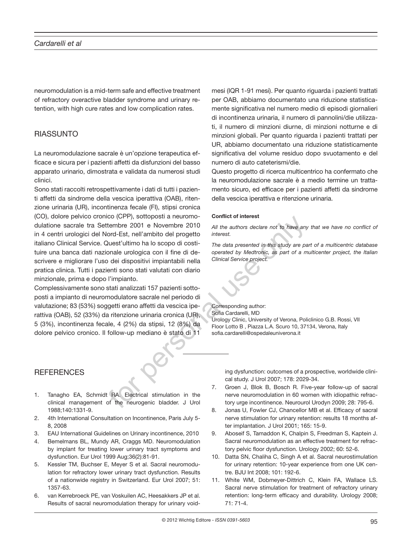neuromodulation is a mid-term safe and effective treatment of refractory overactive bladder syndrome and urinary retention, with high cure rates and low complication rates.

# RIASSUNTO

La neuromodulazione sacrale è un'opzione terapeutica efficace e sicura per i pazienti affetti da disfunzioni del basso apparato urinario, dimostrata e validata da numerosi studi clinici.

Sono stati raccolti retrospettivamente i dati di tutti i pazienti affetti da sindrome della vescica iperattiva (OAB), ritenzione urinaria (UR), incontinenza fecale (FI), stipsi cronica (CO), dolore pelvico cronico (CPP), sottoposti a neuromodulatione sacrale tra Settembre 2001 e Novembre 2010 in 4 centri urologici del Nord-Est, nell'ambito del progetto italiano Clinical Service. Quest'ultimo ha lo scopo di costituire una banca dati nazionale urologica con il fine di descrivere e migliorare l'uso dei dispositivi impiantabili nella pratica clinica. Tutti i pazienti sono stati valutati con diario minzionale, prima e dopo l'impianto. CO (UPP), solutional a neuronion commet or interest<br>
combe 2001 e November 2010 all the authors declare not to have any<br>
ord-Est, nell'ambito del progetto interest.<br>
Quest'ultimo ha lo scopo di costi-<br>
The data presented i

Complessivamente sono stati analizzati 157 pazienti sottoposti a impianto di neuromodulatore sacrale nel periodo di valutazione; 83 (53%) soggetti erano affetti da vescica iperattiva (OAB), 52 (33%) da ritenzione urinaria cronica (UR), 5 (3%), incontinenza fecale, 4 (2%) da stipsi, 12 (8%) da dolore pelvico cronico. Il follow-up mediano è stato di 11

# **REFERENCES**

- 1. Tanagho EA, Schmidt RA. Electrical stimulation in the clinical management of the neurogenic bladder. J Urol 1988;140:1331-9.
- 2. 4th International Consultation on Incontinence, Paris July 5- 8, 2008
- 3. EAU International Guidelines on Urinary incontinence, 2010
- 4. Bemelmans BL, Mundy AR, Craggs MD. Neuromodulation by implant for treating lower urinary tract symptoms and dysfunction. Eur Urol 1999 Aug;36(2):81-91.
- 5. Kessler TM, Buchser E, Meyer S et al. Sacral neuromodulation for refractory lower urinary tract dysfunction. Results of a nationwide registry in Switzerland. Eur Urol 2007; 51: 1357-63.
- 6. van Kerrebroeck PE, van Voskuilen AC, Heesakkers JP et al. Results of sacral neuromodulation therapy for urinary void-

mesi (IQR 1-91 mesi). Per quanto riguarda i pazienti trattati per OAB, abbiamo documentato una riduzione statisticamente significativa nel numero medio di episodi giornalieri di incontinenza urinaria, il numero di pannolini/die utilizzati, il numero di minzioni diurne, di minzioni notturne e di minzioni globali. Per quanto riguarda i pazienti trattati per UR, abbiamo documentato una riduzione statisticamente significativa del volume residuo dopo svuotamento e del numero di auto cateterismi/die.

Questo progetto di ricerca multicentrico ha confermato che la neuromodulazione sacrale è a medio termine un trattamento sicuro, ed efficace per i pazienti affetti da sindrome della vescica iperattiva e ritenzione urinaria.

#### **Conflict of interest**

*All the authors declare not to have any that we have no conflict of interest.* 

*The data presented in this study are part of a multicentric database operated by Medtronic, as part of a multicenter project, the Italian Clinical Service project.*

Corresponding author: Sofia Cardarelli, MD Urology Clinic, University of Verona, Policlinico G.B. Rossi, VII Floor Lotto B , Piazza L.A. Scuro 10, 37134, Verona, Italy sofia.cardarelli@ospedaleuniverona.it

ing dysfunction: outcomes of a prospective, worldwide clinical study. J Urol 2007; 178: 2029-34.

- 7. Groen J, Blok B, Bosch R. Five-year follow-up of sacral nerve neuromodulation in 60 women with idiopathic refractory urge incontinence. Neurourol Urodyn 2009; 28: 795-6.
- 8. Jonas U, Fowler CJ, Chancellor MB et al. Efficacy of sacral nerve stimulation for urinary retention: results 18 months after implantation. J Urol 2001; 165: 15-9.
- 9. Aboseif S, Tamaddon K, Chalpin S, Freedman S, Kaptein J. Sacral neuromodulation as an effective treatment for refractory pelvic floor dysfunction. Urology 2002; 60: 52-6.
- 10. Datta SN, Chaliha C, Singh A et al. Sacral neurostimulation for urinary retention: 10-year experience from one UK centre. BJU Int 2008; 101: 192-6.
- 11. White WM, Dobmeyer-Dittrich C, Klein FA, Wallace LS. Sacral nerve stimulation for treatment of refractory urinary retention: long-term efficacy and durability. Urology 2008;  $71 \cdot 71 - 4$